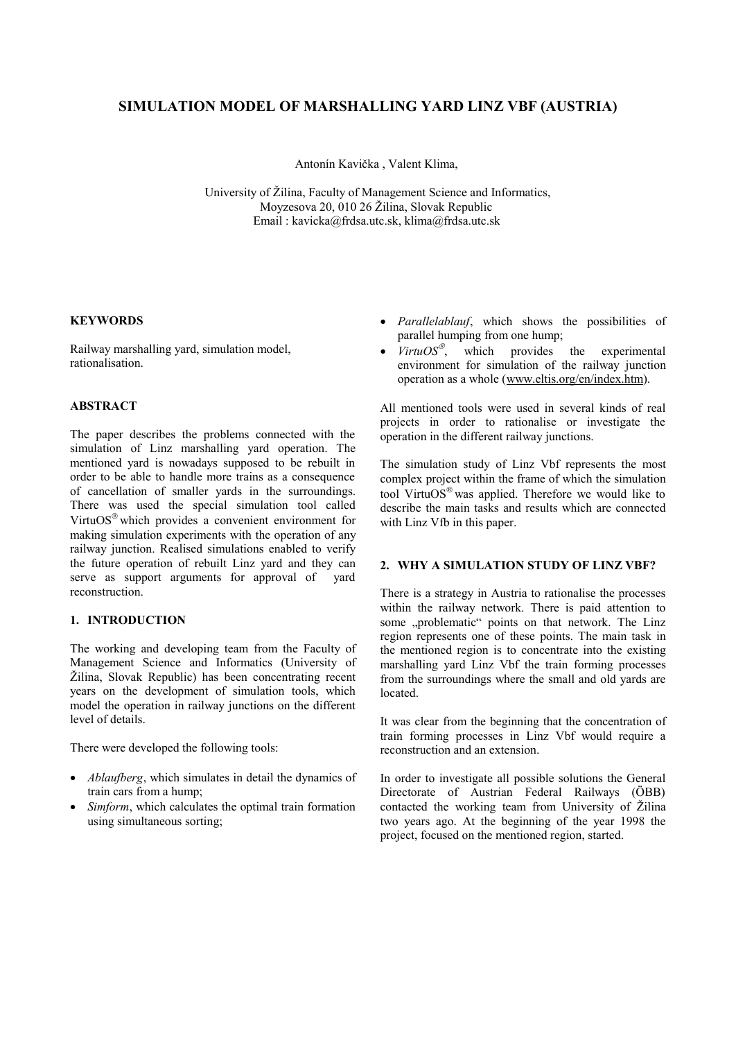# **SIMULATION MODEL OF MARSHALLING YARD LINZ VBF (AUSTRIA)**

Antonín Kavička , Valent Klima,

University of Žilina, Faculty of Management Science and Informatics, Moyzesova 20, 010 26 Žilina, Slovak Republic Email : kavicka@frdsa.utc.sk, klima@frdsa.utc.sk

### **KEYWORDS**

Railway marshalling yard, simulation model, rationalisation.

## **ABSTRACT**

The paper describes the problems connected with the simulation of Linz marshalling yard operation. The mentioned yard is nowadays supposed to be rebuilt in order to be able to handle more trains as a consequence of cancellation of smaller yards in the surroundings. There was used the special simulation tool called Virtu $OS^{\circledast}$  which provides a convenient environment for making simulation experiments with the operation of any railway junction. Realised simulations enabled to verify the future operation of rebuilt Linz yard and they can serve as support arguments for approval of yard reconstruction.

#### **1. INTRODUCTION**

The working and developing team from the Faculty of Management Science and Informatics (University of Žilina, Slovak Republic) has been concentrating recent years on the development of simulation tools, which model the operation in railway junctions on the different level of details.

There were developed the following tools:

- · *Ablaufberg*, which simulates in detail the dynamics of train cars from a hump;
- · *Simform*, which calculates the optimal train formation using simultaneous sorting;
- · *Parallelablauf*, which shows the possibilities of parallel humping from one hump;
- · *VirtuOS"* , which provides the experimental environment for simulation of the railway junction operation as a whole ([www.eltis.org/en/index.htm](http://www.eltis.org/en/index.htm)).

All mentioned tools were used in several kinds of real projects in order to rationalise or investigate the operation in the different railway junctions.

The simulation study of Linz Vbf represents the most complex project within the frame of which the simulation tool Virtu $OS^{\circledast}$  was applied. Therefore we would like to describe the main tasks and results which are connected with Linz Vfb in this paper.

#### **2. WHY A SIMULATION STUDY OF LINZ VBF?**

There is a strategy in Austria to rationalise the processes within the railway network. There is paid attention to some "problematic" points on that network. The Linz region represents one of these points. The main task in the mentioned region is to concentrate into the existing marshalling yard Linz Vbf the train forming processes from the surroundings where the small and old yards are located.

It was clear from the beginning that the concentration of train forming processes in Linz Vbf would require a reconstruction and an extension.

In order to investigate all possible solutions the General Directorate of Austrian Federal Railways (ÖBB) contacted the working team from University of Žilina two years ago. At the beginning of the year 1998 the project, focused on the mentioned region, started.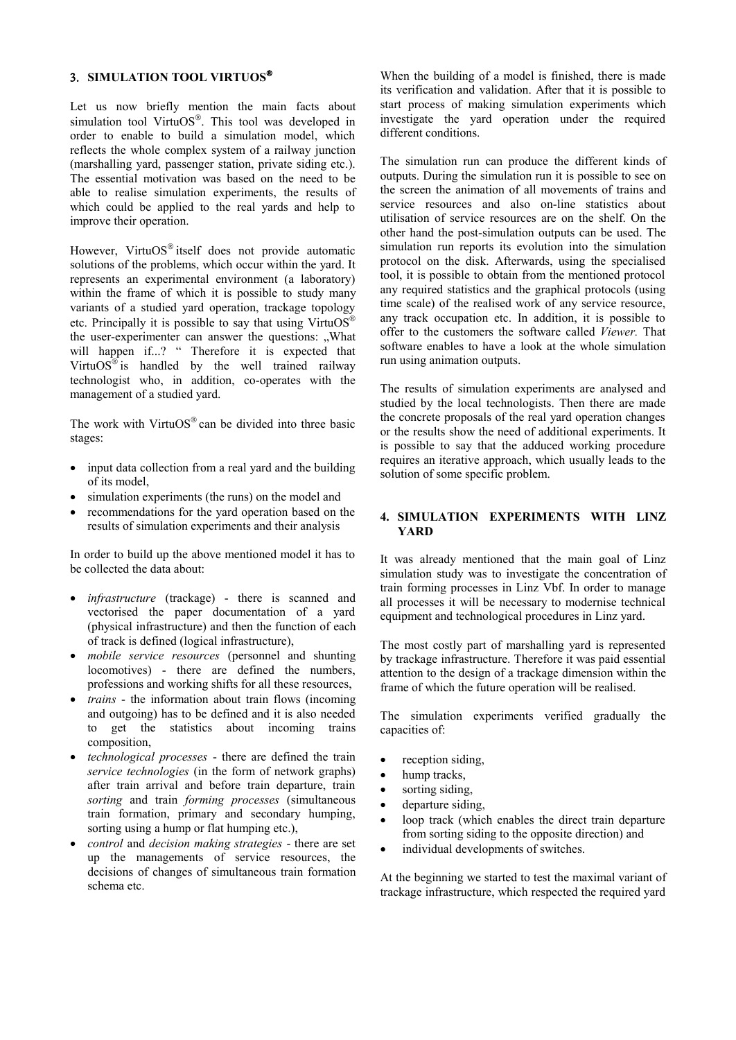## **3. SIMULATION TOOL VIRTUOS"**

Let us now briefly mention the main facts about simulation tool Virtu $OS^{\otimes}$ . This tool was developed in order to enable to build a simulation model, which reflects the whole complex system of a railway junction (marshalling yard, passenger station, private siding etc.). The essential motivation was based on the need to be able to realise simulation experiments, the results of which could be applied to the real yards and help to improve their operation.

However, VirtuOS<sup>®</sup> itself does not provide automatic solutions of the problems, which occur within the yard. It represents an experimental environment (a laboratory) within the frame of which it is possible to study many variants of a studied yard operation, trackage topology etc. Principally it is possible to say that using VirtuOS<sup>®</sup> the user-experimenter can answer the questions: "What will happen if...? " Therefore it is expected that Virtu $OS^{\circledast}$  is handled by the well trained railway technologist who, in addition, co-operates with the management of a studied yard.

The work with VirtuOS<sup>®</sup> can be divided into three basic stages:

- input data collection from a real yard and the building of its model,
- simulation experiments (the runs) on the model and
- · recommendations for the yard operation based on the results of simulation experiments and their analysis

In order to build up the above mentioned model it has to be collected the data about:

- · *infrastructure* (trackage) there is scanned and vectorised the paper documentation of a yard (physical infrastructure) and then the function of each of track is defined (logical infrastructure),
- · *mobile service resources* (personnel and shunting locomotives) - there are defined the numbers, professions and working shifts for all these resources,
- *trains* the information about train flows (incoming and outgoing) has to be defined and it is also needed to get the statistics about incoming trains composition,
- · *technological processes* there are defined the train *service technologies* (in the form of network graphs) after train arrival and before train departure, train *sorting* and train *forming processes* (simultaneous train formation, primary and secondary humping, sorting using a hump or flat humping etc.),
- · *control* and *decision making strategies* there are set up the managements of service resources, the decisions of changes of simultaneous train formation schema etc.

When the building of a model is finished, there is made its verification and validation. After that it is possible to start process of making simulation experiments which investigate the yard operation under the required different conditions.

The simulation run can produce the different kinds of outputs. During the simulation run it is possible to see on the screen the animation of all movements of trains and service resources and also on-line statistics about utilisation of service resources are on the shelf. On the other hand the post-simulation outputs can be used. The simulation run reports its evolution into the simulation protocol on the disk. Afterwards, using the specialised tool, it is possible to obtain from the mentioned protocol any required statistics and the graphical protocols (using time scale) of the realised work of any service resource, any track occupation etc. In addition, it is possible to offer to the customers the software called *Viewer.* That software enables to have a look at the whole simulation run using animation outputs.

The results of simulation experiments are analysed and studied by the local technologists. Then there are made the concrete proposals of the real yard operation changes or the results show the need of additional experiments. It is possible to say that the adduced working procedure requires an iterative approach, which usually leads to the solution of some specific problem.

## **4. SIMULATION EXPERIMENTS WITH LINZ YARD**

It was already mentioned that the main goal of Linz simulation study was to investigate the concentration of train forming processes in Linz Vbf. In order to manage all processes it will be necessary to modernise technical equipment and technological procedures in Linz yard.

The most costly part of marshalling yard is represented by trackage infrastructure. Therefore it was paid essential attention to the design of a trackage dimension within the frame of which the future operation will be realised.

The simulation experiments verified gradually the capacities of:

- reception siding,
- hump tracks,
- sorting siding,
- departure siding,
- loop track (which enables the direct train departure from sorting siding to the opposite direction) and
- individual developments of switches.

At the beginning we started to test the maximal variant of trackage infrastructure, which respected the required yard